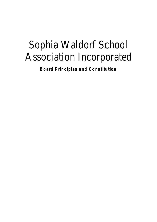# Sophia Waldorf School Association Incorporated

**Board Principles and Constitution**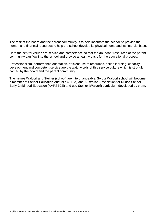The task of the board and the parent community is to help incarnate the school, to provide the human and financial resources to help the school develop its physical home and its financial base.

Here the central values are service and competence so that the abundant resources of the parent community can flow into the school and provide a healthy basis for the educational process.

Professionalism, performance orientation, efficient use of resources, action learning, capacity development and competent service are the watchwords of this service culture which is strongly carried by the board and the parent community.

The names Waldorf and Steiner (school) are interchangeable. So our Waldorf school will become a member of Steiner Education Australia (S E A) and Australian Association for Rudolf Steiner Early Childhood Education (AARSECE) and use Steiner (Waldorf) curriculum developed by them.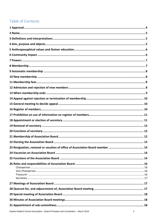# Table of Contents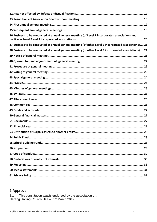| 36 Business to be conducted at annual general meeting (of Level 1 incorporated associations and        |  |  |  |
|--------------------------------------------------------------------------------------------------------|--|--|--|
| 37 Business to be conducted at annual general meeting (of other Level 2 incorporated associations)  21 |  |  |  |
| 38 Business to be conducted at annual general meeting (of other Level 3 incorporated associations)  21 |  |  |  |
|                                                                                                        |  |  |  |
|                                                                                                        |  |  |  |
|                                                                                                        |  |  |  |
|                                                                                                        |  |  |  |
|                                                                                                        |  |  |  |
|                                                                                                        |  |  |  |
|                                                                                                        |  |  |  |
|                                                                                                        |  |  |  |
|                                                                                                        |  |  |  |
|                                                                                                        |  |  |  |
|                                                                                                        |  |  |  |
|                                                                                                        |  |  |  |
|                                                                                                        |  |  |  |
|                                                                                                        |  |  |  |
|                                                                                                        |  |  |  |
|                                                                                                        |  |  |  |
|                                                                                                        |  |  |  |
|                                                                                                        |  |  |  |
|                                                                                                        |  |  |  |
|                                                                                                        |  |  |  |
|                                                                                                        |  |  |  |
|                                                                                                        |  |  |  |
|                                                                                                        |  |  |  |

# <span id="page-3-0"></span>1 Approval

1.1 This constitution was/is endorsed by the association on:<br>Nerang Uniting Church Hall – 31<sup>st</sup> March 2019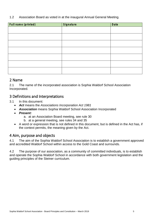#### 1.2 Association Board as voted in at the inaugural Annual General Meeting.

| <b>Full name (printed)</b> | <b>Signature</b> | <b>Date</b> |
|----------------------------|------------------|-------------|
|                            |                  |             |
|                            |                  |             |
|                            |                  |             |
|                            |                  |             |
|                            |                  |             |
|                            |                  |             |
|                            |                  |             |

#### <span id="page-4-0"></span>2 Name

2.1 The name of the incorporated association is Sophia Waldorf School Association Incorporated.

#### <span id="page-4-1"></span>3 Definitions and Interpretations

- 3.1 In this document:
	- *Act* means the *Associations Incorporation Act 1981*
	- *Association* means Sophia Waldorf School Association Incorporated
	- *Present:*
		- a. at an Association Board meeting, see rule 30
		- b. at a general meeting, see rules 34 and 35
	- A word or expression that is not defined in this document, but is defined in the Act has, if the context permits, the meaning given by the Act.

## <span id="page-4-2"></span>4 Aim, purpose and objects

4.1 The aim of the Sophia Waldorf School Association is to establish a government approved and accredited Waldorf School within access to the Gold Coast and surrounds.

4.2 The purpose of our association, as a community of committed individuals, is to establish and operate the Sophia Waldorf School in accordance with both government legislation and the guiding principles of the Steiner curriculum.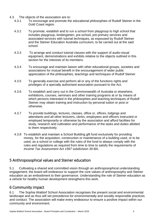- 4.3 The objects of the association are to:
	- 4.3.1 To encourage and promote the educational philosophies of Rudolf Steiner in the Gold Coast region.
	- 4.3.2 To promote, establish and to run a school from playgroup to high school that includes playgroup, kindergarten, pre-school, pre-primary services and associated services with tutorial techniques, as espoused by Rudolf Steiner and the Steiner Education Australia curriculum, to be carried out at the said school.
	- 4.3.3 To arrange and conduct tutorial classes with the support of audio-visual equipment, demonstrations and exhibits relative to the objects outlined in this section for the interests of its members.
	- 4.3.4 To encourage and maintain liaison with other educational groups, societies and associations for mutual benefit in the encouragement of wider public appreciation of the philosophies, teachings and techniques of Rudolf Steiner.
	- 4.3.5 To generally exercise and perform all or any of the functions rights and privileges of a specially authorised association pursuant to the Act.
	- 4.3.6 To establish and carry out in the Commonwealth of Australia or elsewhere, exhibitions, courses, seminars and other training programs at or by means of which persons interested in the philosophies and teaching techniques of Rudolf Steiner may obtain training and instruction by personal tuition or post or otherwise.
	- 4.3.7 To provide buildings, lectures, classes, office or, offices, lodgings and attendants and all other lecturers, clerks, employees and officers instructed or employed temporarily or otherwise by the association and afford facilities for study, research and cultivation and performance of the tasks and duties allotted to them respectively.
	- 4.3.8 To establish and maintain a School Building gift fund exclusively for providing money, for the acquisition, construction or maintenance of a building used, or to be used, as a school or college with the rules of the fund to always comply with the rules and regulations as required from time to time to satisfy the requirements of *Income Tax Assessment Act 1997* subdivision 30-BA.

## <span id="page-5-0"></span>5 Anthroposophical values and Steiner education

5.1 Cultivating a shared and committed vision through an anthroposophical understanding engagement, the board will endeavour to support the core values of anthroposophy and Steiner education as an embodiment to their governance. Understanding the role of Steiner education as a vehicle for healthy human development strengthens this work.

# <span id="page-5-1"></span>6 Community impact

6.1 The Sophia Waldorf School Association recognises the present social and environmental landscape and as thus will set precedence for environmentally and socially responsible practices and conduct. The association will make every endeavour to ensure a positive impact within our community and environment.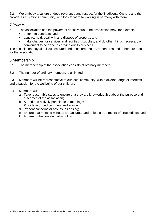6.2 We embody a culture of deep reverence and respect for the Traditional Owners and the broader First Nations community, and look forward to working in harmony with them.

#### <span id="page-6-0"></span>7 Powers

- 7.1 The association has the powers of an individual. The association may, for example:
	- enter into contracts; and
	- acquire, hold, deal with and dispose of property; and
	- make charges for services and facilities it supplies; and do other things necessary or convenient to be done in carrying out its business.

The association may also issue secured and unsecured notes, debentures and debenture stock for the association.

#### <span id="page-6-1"></span>8 Membership

- 8.1 The membership of the association consists of ordinary members.
- 8.2 The number of ordinary members is unlimited.

8.3 Members will be representative of our local community, with a diverse range of interests and a passion for the wellbeing of our children.

- 8.4 Members will:
	- a. Take reasonable steps to ensure that they are knowledgeable about the purpose and outcomes of the association;
	- b. Attend and actively participate in meetings;
	- c. Provide informed comment and advice;
	- d. Present concerns or any issues arising;
	- e. Ensure that meeting minutes are accurate and reflect a true record of proceedings; and
	- f. Adhere to the confidentiality policy.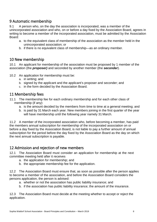## <span id="page-7-0"></span>9 Automatic membership

9.1 A person who, on the day the association is incorporated, was a member of the unincorporated association and who, on or before a day fixed by the Association Board, agrees in writing to become a member of the incorporated association, must be admitted by the Association Board:

- a. to the equivalent class of membership of the association as the member held in the unincorporated association; or
- b. if there is no equivalent class of membership—as an ordinary member.

#### <span id="page-7-1"></span>10 New membership

10.1 An applicant for membership of the association must be proposed by 1 member of the association (the *proposer)* and seconded by another member (the *seconder*).

- 10.2 An application for membership must be:
	- a. in writing; and
	- b. signed by the applicant and the applicant's proposer and seconder; and
	- c. in the form decided by the Association Board.

#### <span id="page-7-2"></span>11 Membership fees

- 11.1 The membership fee for each ordinary membership and for each other class of membership (if any):
	- a. is the amount decided by the members from time to time at a general meeting; and
	- b. is paid by 31 March each year. New members joining in the first quarter of the year will have membership until the following year namely 31 March.

11.2 A member of the incorporated association who, before becoming a member, has paid the members annual subscription for membership of the incorporated association on or before a day fixed by the Association Board, is not liable to pay a further amount of annual subscription for the period before the day fixed by the Association Board as the day on which the next annual subscription is payable.

## <span id="page-7-3"></span>12 Admission and rejection of new members

12.1 The Association Board must consider an application for membership at the next committee meeting held after it receives

- a. the application for membership; and
- b. the appropriate membership fee for the application.

12.2 The Association Board must ensure that, as soon as possible after the person applies to become a member of the association, and before the Association Board considers the persons application, the person is advised:

- a. whether or not the association has public liability insurance; and
- b. if the association has public liability insurance; the amount of the insurance.

12.3 The Association Board must decide at the meeting whether to accept or reject the application.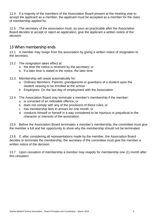12.4 If a majority of the members of the Association Board present at the meeting vote to accept the applicant as a member, the applicant must be accepted as a member for the class of membership applied for.

12.5 The secretary of the association must, as soon as practicable after the Association Board decides to accept or reject an application, give the applicant a written notice of the decision.

## <span id="page-8-0"></span>13 When membership ends

13.1 A member may resign from the association by giving a written notice of resignation to the secretary.

- 13.2 The resignation takes effect at:
	- a. the time the notice is received by the secretary; or
	- b. if a later time is stated in the notice, the later time.
- 13.3 Membership will cease automatically for:
	- a. Ordinary Members: Parents, grandparents or guardians of a student upon the student ceasing to be enrolled at the school
	- b. Employees: On the last day of employment with the Association
- 13.4 The Association Board may terminate a member's membership if the member:
	- a. is convicted of an indictable offence; or
	- b. does not comply with any of the provisions of these rules; or
	- c. has membership fees in arrears for one month; or
	- d. conducts himself or herself in a way considered to be injurious or prejudicial to the character or interests of the association.

13.5 Before the Association Board terminates a member's membership, the committee must give the member a full and fair opportunity to show why the membership should not be terminated.

13.6 If, after considering all representations made by the member, the Association Board decides to terminate the membership, the secretary of the committee must give the member a written notice of the decision.

13.7 Upon cessation of membership a member may reapply for membership one (1) month after this cessation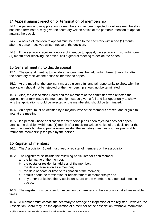# <span id="page-9-0"></span>14 Appeal against rejection or termination of membership

14.1 A person whose application for membership has been rejected, or whose membership has been terminated, may give the secretary written notice of the person's intention to appeal against the decision.

14.2 A notice of intention to appeal must be given to the secretary within one (1) month after the person receives written notice of the decision.

14.3 If the secretary receives a notice of intention to appeal, the secretary must, within one (1) month after receiving the notice, call a general meeting to decide the appeal.

#### <span id="page-9-1"></span>15 General meeting to decide appeal

15.1 The general meeting to decide an appeal must be held within three (3) months after the secretary receives the notice of intention to appeal.

15.2 At the meeting, the applicant must be given a full and fair opportunity to show why the application should not be rejected or the membership should not be terminated.

15.3 Also, the Association Board and the members of the committee who rejected the application or terminated the membership must be given a full and fair opportunity to show why the application should be rejected or the membership should be terminated.

15.4 An appeal must be decided by a majority vote of the members present and eligible to vote at the meeting.

15.5 If a person whose application for membership has been rejected does not appeal against the decision within one (1) month after receiving written notice of the decision, or the person appeals but the appeal is unsuccessful, the secretary must, as soon as practicable, refund the membership fee paid by the person.

## <span id="page-9-2"></span>16 Register of members

16.1 The Association Board must keep a register of members of the association.

- 16.2 The register must include the following particulars for each member:
	- a. the full name of the member;
	- b. the postal or residential address of the member;
	- c. the date of admission as a member;
	- d. the date of death or time of resignation of the member;
	- e. details about the termination or reinstatement of membership; and
	- f. any other particulars the Association Board or the members at a general meeting decide.

16.3 The register must be open for inspection by members of the association at all reasonable times.

16.4 A member must contact the secretary to arrange an inspection of the register. However, the Association Board may, on the application of a member of the association, withhold information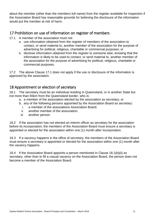about the member (other than the members full name) from the register available for inspection if the Association Board has reasonable grounds for believing the disclosure of the information would put the member at risk of harm.

## <span id="page-10-0"></span>17 Prohibition on use of information on register of members

- 17.1 A member of the association must not:
	- a. use information obtained from the register of members of the association to contact, or send material to, another member of the association for the purpose of advertising for political, religious, charitable or commercial purposes; or
	- b. disclose information obtained from the register to someone else, knowing that the information is likely to be used to contact, or send material to, another member of the association for the purpose of advertising for political, religious, charitable or commercial purposes.

17.2 The above Clause 17.1 does not apply if the use or disclosure of the information is approved by the association.

## <span id="page-10-1"></span>18 Appointment or election of secretary

18.1 The secretary must be an individual residing in Queensland, or in another State but not more than 65km from the Queensland border, who is:

- a. a member of the association elected by the association as secretary; or
- b. any of the following persons appointed by the Association Board as secretary:
	- i. a member of the associations Association Board;
	- ii. another member of the association;
	- iii. another person.

18.2 If the association has not elected an interim officer as secretary for the association before its incorporation, the members of the Association Board must ensure a secretary is appointed or elected for the association within one (1) month after incorporation.

18.3 If a vacancy happens in the office of secretary, the members of the Association Board must ensure a secretary is appointed or elected for the association within one (1) month after the vacancy happens.

18.4 If the Association Board appoints a person mentioned in Clause 18.1(b)(ii) as secretary, other than to fill a casual vacancy on the Association Board, the person does not become a member of the Association Board.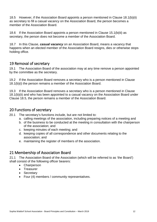18.5 However, if the Association Board appoints a person mentioned in Clause 18.1(b)(ii) as secretary to fill a casual vacancy on the Association Board, the person becomes a member of the Association Board.

18.6 If the Association Board appoints a person mentioned in Clause 15.1(b(iii) as secretary, the person does not become a member of the Association Board.

18.7 In this Clause, *casual vacancy* on an Association Board, means a vacancy that happens when an elected member of the Association Board resigns, dies or otherwise stops holding office.

## <span id="page-11-0"></span>19 Removal of secretary

19.1 The Association Board of the association may at any time remove a person appointed by the committee as the secretary.

19.2 If the Association Board removes a secretary who is a person mentioned in Clause 18.1(b)(i) the person remains a member of the Association Board.

19.3 If the Association Board removes a secretary who is a person mentioned in Clause 18.1(b)(ii) and who has been appointed to a casual vacancy on the Association Board under Clause 18.5, the person remains a member of the Association Board.

#### <span id="page-11-1"></span>20 Functions of secretary

- 20.1 The secretary's functions include, but are not limited to:
	- a. calling meetings of the association, including preparing notices of a meeting and
	- b. of the business to be conducted at the meeting in consultation with the chairperson of the association; and
	- c. keeping minutes of each meeting; and
	- d. keeping copies of all correspondence and other documents relating to the association; and
	- e. maintaining the register of members of the association.

## <span id="page-11-2"></span>21 Membership of Association Board

21.1 The Association Board of the Association (which will be referred to as 'the Board') shall consist of the following officer bearers:

- Chairperson
- Treasurer
- Secretary
- Four (4) members / community representatives.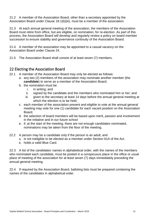21.2 A member of the Association Board, other than a secretary appointed by the Association Board under Clause 18.1(b)(iii), must be a member of the association.

21.3 At each annual general meeting of the association, the members of the Association Board must retire from office, but are eligible, on nomination, for re-election. As part of this process, the Association Board will develop and regularly review a policy on board member succession to ensure stability and governance continuity of the Association Board.

21.4 A member of the association may be appointed to a casual vacancy on the Association Board under Clause 24.

21.5 The Association Board shall consist of at least seven (7) members.

## <span id="page-12-0"></span>22 Electing the Association Board

- 22.1 A member of the Association Board may only be elected as follows:
	- a. any two (2) members of the association may nominate another member (the *candidate*) to serve as a member of the Association Board;
	- b. the nomination must be:
		- i. in writing; and
		- ii. signed by the candidate and the members who nominated him or her; and
		- iii. given to the secretary at least 14 days before the annual general meeting at which the election is to be held;
	- c. each member of the association present and eligible to vote at the annual general meeting may vote for one (1) candidate for each vacant position on the Association Board;
	- d. the selection of board members will be based upon merit, passion and involvement in the initiative and in our future school
	- e. if, at the start of the meeting, there are not enough candidates nominated, nominations may be taken from the floor of the meeting.
- 22.2 A person may be a candidate only if the person is an adult; and
	- a. is not ineligible to be elected as a member under Section 61A of the Act.
	- b. holds a valid Blue Card.

22.3 A list of the candidates' names in alphabetical order, with the names of the members who nominated each candidate, must be posted in a conspicuous place in the office or usual place of meeting of the association for at least seven (7) days immediately preceding the annual general meeting.

22.4 If required by the Association Board, balloting lists must be prepared containing the names of the candidates in alphabetical order.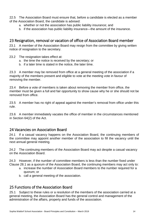22.5 The Association Board must ensure that, before a candidate is elected as a member of the Association Board, the candidate is advised:

- a. whether or not the association has public liability insurance; and
- b. if the association has public liability insurance—the amount of the insurance.

## <span id="page-13-0"></span>23 Resignation, removal or vacation of office of Association Board member

23.1 A member of the Association Board may resign from the committee by giving written notice of resignation to the secretary.

- 23.2 The resignation takes effect at:
	- a. the time the notice is received by the secretary; or
	- b. if a later time is stated in the notice, the later time.

23.3 A member may be removed from office at a general meeting of the association if a majority of the members present and eligible to vote at the meeting vote in favour of removing the member.

23.4 Before a vote of members is taken about removing the member from office, the member must be given a full and fair opportunity to show cause why he or she should not be removed from office.

23.5 A member has no right of appeal against the member's removal from office under this rule.

23.6 A member immediately vacates the office of member in the circumstances mentioned in Section 64(2) of the Act.

#### <span id="page-13-1"></span>24 Vacancies on Association Board

24.1 If a casual vacancy happens on the Association Board, the continuing members of the committee may appoint another member of the association to fill the vacancy until the next annual general meeting.

24.2 The continuing members of the Association Board may act despite a casual vacancy on the Association Board.

24.3 However, if the number of committee members is less than the number fixed under Clause 28.1 as a quorum of the Association Board, the continuing members may act only to:

- a. increase the number of Association Board members to the number required for a quorum; or
- b. call a general meeting of the association.

#### <span id="page-13-2"></span>25 Functions of the Association Board

25.1 Subject to these rules or a resolution of the members of the association carried at a general meeting, the Association Board has the general control and management of the administration of the affairs, property and funds of the association.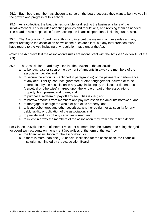25.2 Each board member has chosen to serve on the board because they want to be involved in the growth and progress of this school.

25.3 As a collective, the board is responsible for directing the business affairs of the initiative/school. This includes adopting policies and regulations, and revising them as needed. The board is also responsible for overseeing the financial operations, including fundraising.

25.4 The Association Board has authority to interpret the meaning of these rules and any matter relating to the association on which the rules are silent, but any interpretation must have regard to the Act, including any regulation made under the Act.

*Note*: The Act prevails if the association's rules are inconsistent with the Act (see Section 1B of the Act).

- 25.6 The Association Board may exercise the powers of the association:
	- a. to borrow, raise or secure the payment of amounts in a way the members of the association decide; and
	- b. to secure the amounts mentioned in paragraph (a) or the payment or performance of any debt, liability, contract, guarantee or other engagement incurred or to be entered into by the association in any way, including by the issue of debentures (perpetual or otherwise) charged upon the whole or part of the associations property, both present and future; and
	- c. to purchase, redeem or pay off any securities issued; and
	- d. to borrow amounts from members and pay interest on the amounts borrowed; and
	- e. to mortgage or charge the whole or part of its property; and
	- f. to issue debentures and other securities, whether outright or as security for any debt, liability or obligation of the association; and
	- g. to provide and pay off any securities issued; and
	- h. to invest in a way the members of the association may from time to time decide.

For Clause 25.6(d), the rate of interest must not be more than the current rate being charged for overdrawn accounts on money lent (regardless of the term of the loan) by:

- a. the financial institution for the association; or
- b. if there is more than one (1) financial institution for the association, the financial institution nominated by the Association Board.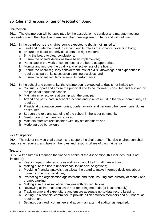# <span id="page-15-0"></span>26 Roles and responsibilities of Association Board

#### <span id="page-15-1"></span>Chairperson

26.1 The chairperson will be appointed by the association to conduct and manage meeting proceedings with the objective of ensuring that meetings are run fairly and without bias.

- 26.2 In the boardroom, the chairperson is expected to (but is not limited to):
	- a. Lead and guide the board in carrying out its role as the school's governing body;
	- b. Ensure the board properly considers the right matters;
	- c. Bring the board to clear conclusions;
	- d. Ensure the board's decisions have been implemented;
	- e. Participate in the work of committees of the board as appropriate;
	- f. Monitor and improve the quality and effectiveness of the board;
	- g. Ensure the board regularly considers the mix of skills, knowledge and experience it requires as part of its succession planning activities; and
	- h. Ensure the board regularly reviews its performance.
- 26.3 In the school and community, the chairperson is expected to (but is not limited to):
	- a. Consult, support and advise the principal and to be informed, consulted and advised by the principal about the school;
	- b. Maintain an effective relationship with the principal;
	- c. Attend and participate in school functions and to represent it in the wider community, as required;
	- d. Preside at graduation ceremonies, confer awards and perform other ceremonial duties as required;
	- e. Support the role and standing of the school in the wider community.
	- f. Mentor board members as required;
	- g. Maintain effective relationships with key stakeholders; and
	- h. Model agreed behaviours.

#### <span id="page-15-2"></span>Vice Chairperson

26.4 The role of the vice-chairperson is to support the chairperson. The vice-chairperson shall deputise as required, and take on the roles and responsibilities of the chairperson.

#### <span id="page-15-3"></span>**Treasurer**

26.5 A treasurer will manage the financial affairs of the Association, this includes (but is not limited to):

- a. Keeping up-to-date records as well as an audit trail for all transactions;
- b. Making sure the board understands its financial obligations;
- c. Providing financial analysis that allows the board to make informed decisions about future income or expenditure;
- d. Protecting the organisation against fraud and theft, insuring safe custody of money and prompt banking;
- e. Making sure the association complies with tax regulations;
- f. Reviewing all internal processes and reporting methods (at least annually).
- g. Track income and expenditure and ensure adequate up-to-date record keeping.
- h. Setting-up a financial committee to provide a link between members and our board, as required; and
- i. Setting-up an audit committee and appoint an external auditor, as required.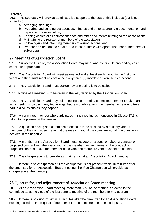#### <span id="page-16-0"></span>**Secretary**

26.6 The secretary will provide administrative support to the board, this includes (but is not limited to):

- a. Arranging meetings;
- b. Preparing and sending out agendas, minutes and other appropriate documentation and papers for the association;
- c. Keeping copies of all correspondence and other documents relating to the association;
- d. Maintaining the register of members of the association;
- e. Following-up and informing members of arising actions; and
- f. Prepare and respond to emails, and to share these with appropriate board members or sub-groups.

# <span id="page-16-1"></span>27 Meetings of Association Board

27.1 Subject to this rule, the Association Board may meet and conduct its proceedings as it considers appropriate.

27.2 The Association Board will meet as needed and at least each month in the first two years and then must meet at least once every three (3) months to exercise its functions.

27.3 The Association Board must decide how a meeting is to be called.

27.4 Notice of a meeting is to be given in the way decided by the Association Board.

27.5 The Association Board may hold meetings, or permit a committee member to take part in its meetings, by using any technology that reasonably allows the member to hear and take part in discussions as they happen.

27.6 A committee member who participates in the meeting as mentioned in Clause 27.5 is taken to be present at the meeting.

27.7 A question arising at a committee meeting is to be decided by a majority vote of members of the committee present at the meeting and, if the votes are equal, the question is decided in the negative.

27.8 A member of the Association Board must not vote on a question about a contract or proposed contract with the association if the member has an interest in the contract or proposed contract and, if the member does vote, the members vote must not be counted.

27.9 The chairperson is to preside as chairperson at an Association Board meeting.

27.10 If there is no chairperson or if the chairperson is not present within 10 minutes after the time fixed for an Association Board meeting, the Vice Chairperson will preside as chairperson at the meeting.

## <span id="page-16-2"></span>28 Quorum for, and adjournment of, Association Board meeting

28.1 At an Association Board meeting, more than 50% of the members elected to the committee as at the close of the last general meeting of the members form a quorum.

28.2 If there is no quorum within 30 minutes after the time fixed for an Association Board meeting called on the request of members of the committee, the meeting lapses.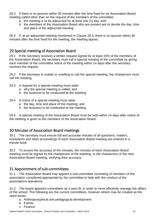28.3 If there is no quorum within 30 minutes after the time fixed for an Association Board meeting called other than on the request of the members of the committee:

- a. the meeting is to be adjourned for at least one (1) day; and
- b. the members of the Association Board who are present are to decide the day, time and place of the adjourned meeting.

28.4 If, at an adjourned meeting mentioned in Clause 28.3, there is no quorum within 30 minutes after the time fixed for the meeting, the meeting lapses.

## <span id="page-17-0"></span>29 Special meeting of Association Board

29.1 If the secretary receives a written request signed by at least 33% of the members of the Association Board, the secretary must call a special meeting of the committee by giving each member of the committee notice of the meeting within 14 days after the secretary receives the request.

29.2 If the secretary is unable or unwilling to call the special meeting, the chairperson must call the meeting.

- 29.3 A request for a special meeting must state:
	- a. why the special meeting is called; and
	- b. the business to be conducted at the meeting.
- 29.4 A notice of a special meeting must state:
	- a. the day, time and place of the meeting; and
	- b. the business to be conducted at the meeting.

29.5 A special meeting of the Association Board must be held within 14 days after notice of the meeting is given to the members of the Association Board.

#### <span id="page-17-1"></span>30 Minutes of Association Board meetings

30.1 The secretary must ensure full and accurate minutes of all questions, matters, resolutions and other proceedings of each Association Board meeting are entered in a minute book.

30.2 To ensure the accuracy of the minutes, the minutes of each Association Board meeting must be signed by the chairperson of the meeting, or the chairperson of the next Association Board meeting, verifying their accuracy.

## <span id="page-17-2"></span>31 Appointment of sub-committees

31.1 The Association Board may appoint a sub-committee consisting of members of the association considered appropriate by the committee to help with the conduct of the associations operations.

31.2 The board appoints committees as it sees fit, in order to more efficiently manage the affairs of the school. The following are the current committees, however others may be created as the need arises:

- a. Anthroposophical and pedagogical development
- b. Events
- c. Finance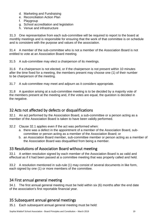- d. Marketing and Fundraising
- e. Reconciliation Action Plan
- f. Playgroup
- g. School accreditation and legislation
- h. Venue and infrastructure

31.3 One representative from each sub-committee will be required to report to the board at monthly meetings and is responsible for ensuring that the work of that committee is on schedule and is consistent with the purpose and values of the association.

31.4 A member of the sub-committee who is not a member of the Association Board is not entitled to vote at an Association Board meeting.

31.5 A sub-committee may elect a chairperson of its meetings.

31.6 If a chairperson is not elected, or if the chairperson is not present within 10 minutes after the time fixed for a meeting, the members present may choose one (1) of their number to be chairperson of the meeting.

31.7 A sub-committee may meet and adjourn as it considers appropriate.

31.8 A question arising at a sub-committee meeting is to be decided by a majority vote of the members present at the meeting and, if the votes are equal, the question is decided in the negative.

## <span id="page-18-0"></span>32 Acts not affected by defects or disqualifications

32.1 An act performed by the Association Board, a sub-committee or a person acting as a member of the Association Board is taken to have been validly performed.

- 32.2 Clause 32.1 applies even if the act was performed when:
	- a. there was a defect in the appointment of a member of the Association Board, subcommittee or person acting as a member of the Association Board; or
	- b. an Association Board member, sub-committee member or person acting as a member of the Association Board was disqualified from being a member.

#### <span id="page-18-1"></span>33 Resolutions of Association Board without meeting

33.1 A written resolution signed by each member of the Association Board is as valid and effectual as if it had been passed at a committee meeting that was properly called and held.

33.2 A resolution mentioned in sub-rule (1) may consist of several documents in like form, each signed by one (1) or more members of the committee.

## <span id="page-18-2"></span>34 First annual general meeting

34.1 The first annual general meeting must be held within six (6) months after the end date of the association's first reportable financial year.

# <span id="page-18-3"></span>35 Subsequent annual general meetings

35.1 Each subsequent annual general meeting must be held: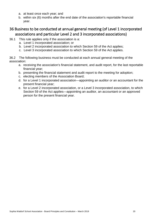- a. at least once each year; and
- b. within six (6) months after the end date of the association's reportable financial year.

# <span id="page-19-0"></span>36 Business to be conducted at annual general meeting (of Level 1 incorporated associations and particular Level 2 and 3 incorporated associations)

- 36.1 This rule applies only if the association is a:
	- a. Level 1 incorporated association; or
	- b. Level 2 incorporated association to which Section 59 of the Act applies;
	- c. Level 3 incorporated association to which Section 59 of the Act applies.

36.2 The following business must be conducted at each annual general meeting of the association:

- a. receiving the association's financial statement, and audit report, for the last reportable financial year;
- b. presenting the financial statement and audit report to the meeting for adoption;
- c. electing members of the Association Board;
- d. for a Level 1 incorporated association—appointing an auditor or an accountant for the present financial year;
- e. for a Level 2 incorporated association, or a Level 3 incorporated association, to which Section 59 of the Act applies—appointing an auditor, an accountant or an approved person for the present financial year.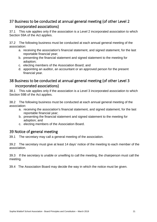# <span id="page-20-0"></span>37 Business to be conducted at annual general meeting (of other Level 2 incorporated associations)

37.1 This rule applies only if the association is a Level 2 incorporated association to which Section 59A of the Act applies.

37.2 The following business must be conducted at each annual general meeting of the association:

- a. receiving the association's financial statement, and signed statement, for the last reportable financial year;
- b. presenting the financial statement and signed statement to the meeting for adoption;
- c. electing members of the Association Board; and
- d. appointing an auditor, an accountant or an approved person for the present financial year.

# <span id="page-20-1"></span>38 Business to be conducted at annual general meeting (of other Level 3 incorporated associations)

38.1 This rule applies only if the association is a Level 3 incorporated association to which Section 59B of the Act applies.

38.2 The following business must be conducted at each annual general meeting of the association:

- a. receiving the association's financial statement, and signed statement, for the last reportable financial year;
- b. presenting the financial statement and signed statement to the meeting for adoption; and
- c. electing members of the Association Board.

# <span id="page-20-2"></span>39 Notice of general meeting

39.1 The secretary may call a general meeting of the association.

39.2 The secretary must give at least 14 days' notice of the meeting to each member of the association.

39.3 If the secretary is unable or unwilling to call the meeting, the chairperson must call the meeting.

39.4 The Association Board may decide the way in which the notice must be given.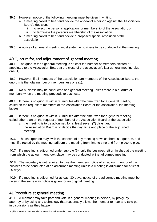- 39.5 However, notice of the following meetings must be given in writing:
	- a. a meeting called to hear and decide the appeal of a person against the Association Board's decision:
		- i. to reject the person's application for membership of the association; or
		- ii. to terminate the person's membership of the association.
	- b. a meeting called to hear and decide a proposed special resolution of the association.
- 39.6 A notice of a general meeting must state the business to be conducted at the meeting.

## <span id="page-21-0"></span>40 Quorum for, and adjournment of, general meeting

40.1 The quorum for a general meeting is at least the number of members elected or appointed to the Association Board at the close of the association's last general meeting plus one (1).

40.2 However, if all members of the association are members of the Association Board, the quorum is the total number of members less one (1).

40.3 No business may be conducted at a general meeting unless there is a quorum of members when the meeting proceeds to business.

40.4 If there is no quorum within 30 minutes after the time fixed for a general meeting called on the request of members of the Association Board or the association, the meeting lapses.

40.5 If there is no quorum within 30 minutes after the time fixed for a general meeting called other than on the request of members of the Association Board or the association:

- a. the meeting is to be adjourned for at least seven (7) days; and
- b. the Association Board is to decide the day, time and place of the adjourned meeting.

40.6 The chairperson may, with the consent of any meeting at which there is a quorum, and must if directed by the meeting, adjourn the meeting from time to time and from place to place.

40.7 If a meeting is adjourned under subrule (6), only the business left unfinished at the meeting from which the adjournment took place may be conducted at the adjourned meeting.

40.8 The secretary is not required to give the members notice of an adjournment or of the business to be conducted at an adjourned meeting unless a meeting is adjourned for at least 30 days.

40.9 If a meeting is adjourned for at least 30 days, notice of the adjourned meeting must be given in the same way notice is given for an original meeting.

## <span id="page-21-1"></span>41 Procedure at general meeting

41.1 A member may take part and vote in a general meeting in person, by proxy, by attorney or by using any technology that reasonably allows the member to hear and take part in discussions as they happen.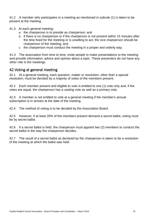41.2 A member who participates in a meeting as mentioned in subrule (1) is taken to be present at the meeting.

- 41.3 At each general meeting:
	- a. the chairperson is to preside as chairperson; and
	- b. if there is no chairperson or if the chairperson is not present within 15 minutes after the time fixed for the meeting or is unwilling to act, the vice chairperson should be chairperson of the meeting; and
	- c. the chairperson must conduct the meeting in a proper and orderly way.

41.4 The association from time to time, invite people to make presentations to the meeting and provide information, advice and opinion about a topic. These presenters do not have any other role in the meetings.

#### <span id="page-22-0"></span>42 Voting at general meeting

42.1 At a general meeting, each question, matter or resolution, other than a special resolution, must be decided by a majority of votes of the members present.

42.2 Each member present and eligible to vote is entitled to one (1) vote only and, if the votes are equal, the chairperson has a casting vote as well as a primary vote.

42.3 A member is not entitled to vote at a general meeting if the member's annual subscription is in arrears at the date of the meeting.

42.4 The method of voting is to be decided by the Association Board.

42.5 However, if at least 20% of the members present demand a secret ballot, voting must be by secret ballot.

42.6 If a secret ballot is held, the chairperson must appoint two (2) members to conduct the secret ballot in the way the chairperson decides.

42.7 The result of a secret ballot as declared by the chairperson is taken to be a resolution of the meeting at which the ballot was held.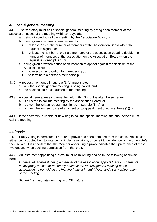## <span id="page-23-0"></span>43 Special general meeting

43.1 The secretary must call a special general meeting by giving each member of the association notice of the meeting within 14 days after:

- a. being directed to call the meeting by the Association Board; or
- b. being given a written request signed by:
	- i. at least 33% of the number of members of the Association Board when the request is signed; or
	- ii. at least the number of ordinary members of the association equal to double the number of members of the association on the Association Board when the request is signed plus 1; or
- c. being given a written notice of an intention to appeal against the decision of the Association Board:
	- i. to reject an application for membership; or
	- ii. to terminate a person's membership.
- 43.2 A request mentioned in subrule (1)(b) must state:
	- a. why the special general meeting is being called; and
	- b. the business to be conducted at the meeting.
- 43.3 A special general meeting must be held within 3 months after the secretary:
	- a. is directed to call the meeting by the Association Board; or
	- b. is given the written request mentioned in subrule (1)(b); or
	- c. is given the written notice of an intention to appeal mentioned in subrule (1)(c).

43.4 If the secretary is unable or unwilling to call the special meeting, the chairperson must call the meeting.

#### <span id="page-23-1"></span>44 Proxies

44.1 Proxy voting is permitted, if a prior approval has been obtained from the chair. Proxies can either be instructed how to vote on particular resolutions, or be left to decide how to cast the vote/s themselves. It is important that the Member appointing a proxy indicates their preference of these two options when seeking permission from the chair.

44.2 An instrument appointing a proxy must be in writing and be in the following or similar form:

*I, [name] of [address], being a member of the association, appoint [person's name] of as my proxy to vote for me on my behalf at the annual/general meeting of the association, to be held on the [number] day of [month] [year] and at any adjournment of the meeting.* 

*Signed this day [date dd/mm/yyyy]. [Signature]*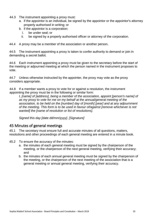- 44.3 The instrument appointing a proxy must:
	- a. if the appointor is an individual, be signed by the appointor or the appointor's attorney properly authorised in writing; or
	- b. if the appointor is a corporation:
		- i. be under seal; or
		- ii. be signed by a properly authorised officer or attorney of the corporation.

44.4 A proxy may be a member of the association or another person.

44.5 The instrument appointing a proxy is taken to confer authority to demand or join in demanding a secret ballot.

44.6 Each instrument appointing a proxy must be given to the secretary before the start of the meeting or adjourned meeting at which the person named in the instrument proposes to vote.

44.7 Unless otherwise instructed by the appointer, the proxy may vote as the proxy considers appropriate.

44.8 If a member wants a proxy to vote for or against a resolution, the instrument appointing the proxy must be in the following or similar form:

*I, [name] of [address], being a member of the association, appoint [person's name] of as my proxy to vote for me on my behalf at the annual/general meeting of the association, to be held on the [number] day of [month] [year] and at any adjournment of the meeting. This form is to be used in favour of/against [remove whichever is not wanted] the [name of resolution or list of resolutions].*

*Signed this day [date dd/mm/yyyy]. [Signature]*

#### <span id="page-24-0"></span>45 Minutes of general meetings

45.1 The secretary must ensure full and accurate minutes of all questions, matters, resolutions and other proceedings of each general meeting are entered in a minute book.

- 45.2 To ensure the accuracy of the minutes:
	- a. the minutes of each general meeting must be signed by the chairperson of the meeting, or the chairperson of the next general meeting, verifying their accuracy; and
	- b. the minutes of each annual general meeting must be signed by the chairperson of the meeting, or the chairperson of the next meeting of the association that is a general meeting or annual general meeting, verifying their accuracy.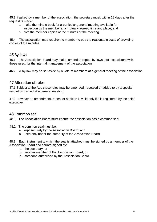45.3 If asked by a member of the association, the secretary must, within 28 days after the request is made:

- a. make the minute book for a particular general meeting available for inspection by the member at a mutually agreed time and place; and
- b. give the member copies of the minutes of the meeting.

45.4 The association may require the member to pay the reasonable costs of providing copies of the minutes.

#### <span id="page-25-0"></span>46 By-laws

46.1 The Association Board may make, amend or repeal by-laws, not inconsistent with these rules, for the internal management of the association.

46.2 A by-law may be set aside by a vote of members at a general meeting of the association.

## <span id="page-25-1"></span>47 Alteration of rules

47.1 Subject to the Act, these rules may be amended, repealed or added to by a special resolution carried at a general meeting.

47.2 However an amendment, repeal or addition is valid only if it is registered by the chief executive.

#### <span id="page-25-2"></span>48 Common seal

48.1 The Association Board must ensure the association has a common seal.

- 48.2 The common seal must be:
	- a. kept securely by the Association Board; and
	- b. used only under the authority of the Association Board.

48.3 Each instrument to which the seal is attached must be signed by a member of the Association Board and countersigned by:

- a. the secretary; or
- b. another member of the Association Board; or
- c. someone authorised by the Association Board.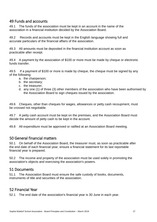#### <span id="page-26-0"></span>49 Funds and accounts

49.1 The funds of the association must be kept in an account in the name of the association in a financial institution decided by the Association Board.

49.2 Records and accounts must be kept in the English language showing full and accurate particulars of the financial affairs of the association.

49.3 All amounts must be deposited in the financial institution account as soon as practicable after receipt.

49.4 A payment by the association of \$100 or more must be made by cheque or electronic funds transfer.

49.5 If a payment of \$100 or more is made by cheque, the cheque must be signed by any of the following:

- a. the chairperson;
- b. the secretary;
- c. the treasurer;
- d. any one (1) of three (3) other members of the association who have been authorised by the Association Board to sign cheques issued by the association.

49.6 Cheques, other than cheques for wages, allowances or petty cash recoupment, must be crossed not negotiable.

49.7 A petty cash account must be kept on the premises, and the Association Board must decide the amount of petty cash to be kept in the account.

49.8 All expenditure must be approved or ratified at an Association Board meeting.

#### <span id="page-26-1"></span>50 General financial matters

50.1 On behalf of the Association Board, the treasurer must, as soon as practicable after the end date of each financial year, ensure a financial statement for its last reportable financial year is prepared.

50.2 The income and property of the association must be used solely in promoting the association's objects and exercising the association's powers.

#### <span id="page-26-2"></span>51 Documents

51.1 The Association Board must ensure the safe custody of books, documents, instruments of title and securities of the association.

#### <span id="page-26-3"></span>52 Financial Year

52.1 The end date of the association's financial year is 30 June in each year.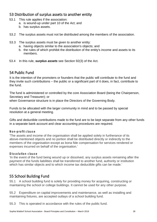## <span id="page-27-0"></span>53 Distribution of surplus assets to another entity

- 53.1 This rule applies if the association:
	- a. is wound-up under part 10 of the Act; and
	- b. has surplus assets.
- 53.2 The surplus assets must not be distributed among the members of the association.
- 53.3 The surplus assets must be given to another entity:
	- a. having objects similar to the association's objects; and
	- b. the rules of which prohibit the distribution of the entity's income and assets to its members.
- 53.4 In this rule, *surplus assets* see Section 92(3) of the Act.

# <span id="page-27-1"></span>54 Public Fund

It is the intention of the promoters or founders that the public will contribute to the fund and they invite such contributions – the public or a significant part of it does, in fact, contribute to the fund.

The fund is administered or controlled by the core Association Board (being the Chairperson, Secretary and Treasurer); or

when Governance structure is in place the Directors of the Governing Body.

Funds to be allocated with the larger community in mind and to be passed by special resolution at a general meeting.

Gifts and deductible contributions made to the fund are to be kept separate from any other funds in a separate bank account and clear accounting procedures are required.

#### **Non -profit clause**

'The assets and income of the organisation shall be applied solely in furtherance of its above-mentioned objects and no portion shall be distributed directly or indirectly to the members of the organisation except as bona fide compensation for services rendered or expenses incurred on behalf of the organisation.'

#### **Dissolution clause**

'In the event of the fund being wound up or dissolved, any surplus assets remaining after the payment of the funds liabilities shall be transferred to another fund, authority or institution which has similar objects and to which income tax deductible gifts can be made.'

## <span id="page-27-2"></span>55 School Building Fund

55.1 A school building fund is solely for providing money for acquiring, constructing or maintaining the school or college buildings. It cannot be used for any other purpose.

55.2 Expenditure on capital improvements and maintenance, as well as installing and maintaining fixtures, are accepted outlays of a school building fund.

55.3 This is operated in accordance with the rules of the public fund.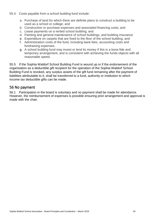- 55.4 Costs payable from a school building fund include:
	- a. Purchase of land for which there are definite plans to construct a building to be used as a school or college; and
	- b. Construction or purchase expenses and associated financing costs; and
	- c. Lease payments on a rented school building; and
	- d. Painting and general maintenance of school buildings, and building insurance
	- e. Expenditure on carpets that are fixed to the floor of the school building, and
	- f. Administration costs of the fund, including bank fees, accounting costs and fundraising expenses.
	- g. A school building fund may invest or lend its money if this is a bona fide and temporary arrangement, and is consistent with achieving the funds objects with all reasonable speed.

55.5 If the Sophia Waldorf School Building Fund is wound up or if the endorsement of the organisation as a deductible gift recipient for the operation of the Sophia Waldorf School Building Fund is revoked, any surplus assets of the gift fund remaining after the payment of liabilities attributable to it, shall be transferred to a fund, authority or institution to which income tax deductible gifts can be made.

#### <span id="page-28-0"></span>56 No payment

56.1 Participation in the board is voluntary and no payment shall be made for attendance. However, the reimbursement of expenses is possible ensuring prior arrangement and approval is made with the chair.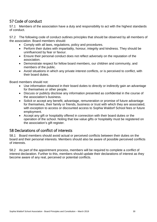# <span id="page-29-0"></span>57 Code of conduct

57.1 Members of the association have a duty and responsibility to act with the highest standards of conduct.

57.2 The following code of conduct outlines principles that should be observed by all members of the association. Board members should:

- Comply with all laws, regulations, policy and procedures.
- Perform their duties with impartiality, honour, integrity and kindness. They should be uninfluenced by fear or favour.
- Ensure their personal conduct does not reflect adversely on the reputation of the association.
- Demonstrate respect for fellow board members, our children and community, and members of the public.
- Avoid situations in which any private interest conflicts, or is perceived to conflict, with their board duties.

Board members should not:

- Use information obtained in their board duties to directly or indirectly gain an advantage for themselves or other people.
- Discuss or publicly disclose any information presented as confidential in the course of the association's business.
- Solicit or accept any benefit, advantage, remuneration or promise of future advantage for themselves, their family or friends, business or trust with which they are associated, with exception to access or discounted access to Sophia Waldorf School fees or future employment.
- Accept any gift or hospitality offered in connection with their board duties or the operation of the school. Noting that low value gifts or hospitality must be registered on the association's gift register.

## <span id="page-29-1"></span>58 Declarations of conflict of interests

58.1 Board members should avoid actual or perceived conflicts between their duties on the board and their personal interests. Members should also be aware of possible perceived conflicts of interests.

58.2 As part of the appointment process, members will be required to complete a conflict of interest declaration. Further to this, members should update their declarations of interest as they become aware of any real, perceived or potential conflicts.